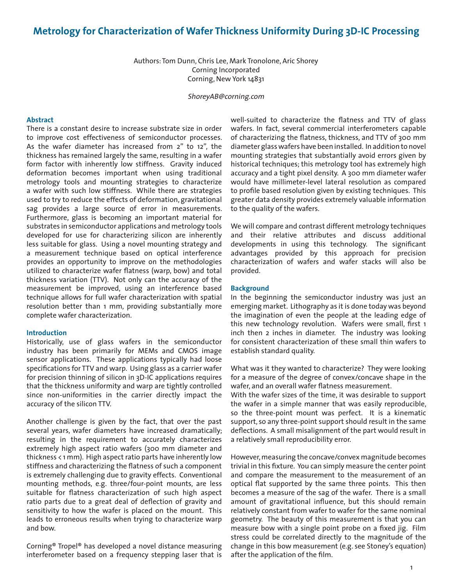# **Metrology for Characterization of Wafer Thickness Uniformity During 3D-IC Processing**

Authors: Tom Dunn, Chris Lee, Mark Tronolone, Aric Shorey Corning Incorporated Corning, New York 14831

ShoreyAB@corning.com

#### **Abstract**

There is a constant desire to increase substrate size in order to improve cost effectiveness of semiconductor processes. As the wafer diameter has increased from 2" to 12", the thickness has remained largely the same, resulting in a wafer form factor with inherently low stiffness. Gravity induced deformation becomes important when using traditional metrology tools and mounting strategies to characterize a wafer with such low stiffness. While there are strategies used to try to reduce the effects of deformation, gravitational sag provides a large source of error in measurements. Furthermore, glass is becoming an important material for substrates in semiconductor applications and metrology tools developed for use for characterizing silicon are inherently less suitable for glass. Using a novel mounting strategy and a measurement technique based on optical interference provides an opportunity to improve on the methodologies utilized to characterize wafer flatness (warp, bow) and total thickness variation (TTV). Not only can the accuracy of the measurement be improved, using an interference based technique allows for full wafer characterization with spatial resolution better than 1 mm, providing substantially more complete wafer characterization.

#### **Introduction**

Historically, use of glass wafers in the semiconductor industry has been primarily for MEMs and CMOS image sensor applications. These applications typically had loose specifications for TTV and warp. Using glass as a carrier wafer for precision thinning of silicon in 3D-IC applications requires that the thickness uniformity and warp are tightly controlled since non-uniformities in the carrier directly impact the accuracy of the silicon TTV.

Another challenge is given by the fact, that over the past several years, wafer diameters have increased dramatically; resulting in the requirement to accurately characterizes extremely high aspect ratio wafers (300 mm diameter and thickness < 1 mm). High aspect ratio parts have inherently low stiffness and characterizing the flatness of such a component is extremely challenging due to gravity effects. Conventional mounting methods, e.g. three/four-point mounts, are less suitable for flatness characterization of such high aspect ratio parts due to a great deal of deflection of gravity and sensitivity to how the wafer is placed on the mount. This leads to erroneous results when trying to characterize warp and bow.

Corning® Tropel® has developed a novel distance measuring interferometer based on a frequency stepping laser that is well-suited to characterize the flatness and TTV of glass wafers. In fact, several commercial interferometers capable of characterizing the flatness, thickness, and TTV of 300 mm diameter glass wafers have been installed. In addition to novel mounting strategies that substantially avoid errors given by historical techniques; this metrology tool has extremely high accuracy and a tight pixel density. A 300 mm diameter wafer would have millimeter-level lateral resolution as compared to profile based resolution given by existing techniques. This greater data density provides extremely valuable information to the quality of the wafers.

We will compare and contrast different metrology techniques and their relative attributes and discuss additional developments in using this technology. The significant advantages provided by this approach for precision characterization of wafers and wafer stacks will also be provided.

#### **Background**

In the beginning the semiconductor industry was just an emerging market. Lithography as it is done today was beyond the imagination of even the people at the leading edge of this new technology revolution. Wafers were small, first 1 inch then 2 inches in diameter. The industry was looking for consistent characterization of these small thin wafers to establish standard quality.

What was it they wanted to characterize? They were looking for a measure of the degree of convex/concave shape in the wafer, and an overall wafer flatness measurement.

With the wafer sizes of the time, it was desirable to support the wafer in a simple manner that was easily reproducible, so the three-point mount was perfect. It is a kinematic support, so any three-point support should result in the same deflections. A small misalignment of the part would result in a relatively small reproducibility error.

However, measuring the concave/convex magnitude becomes trivial in this fixture. You can simply measure the center point and compare the measurement to the measurement of an optical flat supported by the same three points. This then becomes a measure of the sag of the wafer. There is a small amount of gravitational influence, but this should remain relatively constant from wafer to wafer for the same nominal geometry. The beauty of this measurement is that you can measure bow with a single point probe on a fixed jig. Film stress could be correlated directly to the magnitude of the change in this bow measurement (e.g. see Stoney's equation) after the application of the film.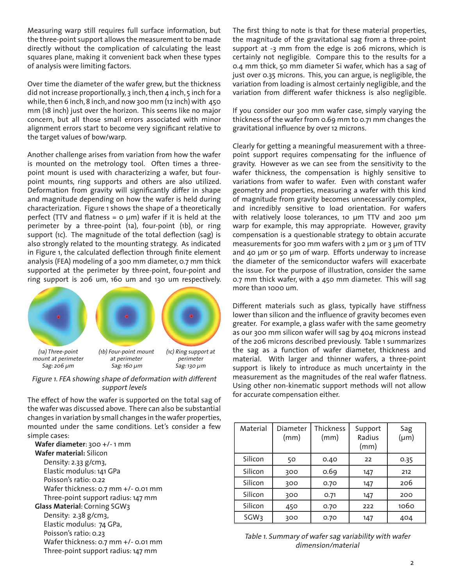Measuring warp still requires full surface information, but the three-point support allows the measurement to be made directly without the complication of calculating the least squares plane, making it convenient back when these types of analysis were limiting factors.

Over time the diameter of the wafer grew, but the thickness did not increase proportionally, 3 inch, then 4 inch, 5 inch for a while, then 6 inch, 8 inch, and now 300 mm (12 inch) with 450 mm (18 inch) just over the horizon. This seems like no major concern, but all those small errors associated with minor alignment errors start to become very significant relative to the target values of bow/warp.

Another challenge arises from variation from how the wafer is mounted on the metrology tool. Often times a threepoint mount is used with characterizing a wafer, but fourpoint mounts, ring supports and others are also utilized. Deformation from gravity will significantly differ in shape and magnitude depending on how the wafer is held during characterization. Figure 1 shows the shape of a theoretically perfect (TTV and flatness =  $\sigma$  µm) wafer if it is held at the perimeter by a three-point (1a), four-point (1b), or ring support (1c). The magnitude of the total deflection (sag) is also strongly related to the mounting strategy. As indicated in Figure 1, the calculated deflection through finite element analysis (FEA) modeling of a 300 mm diameter, 0.7 mm thick supported at the perimeter by three-point, four-point and ring support is 206 um, 160 um and 130 um respectively.



Figure 1. FEA showing shape of deformation with different support levels

The effect of how the wafer is supported on the total sag of the wafer was discussed above. There can also be substantial changes in variation by small changes in the wafer properties, mounted under the same conditions. Let's consider a few simple cases:

| Wafer diameter: 300 +/-1 mm         |
|-------------------------------------|
| Wafer material: Silicon             |
| Density: 2.33 g/cm3,                |
| Elastic modulus: 141 GPa            |
| Poisson's ratio: 0.22               |
| Wafer thickness: 0.7 mm +/- 0.01 mm |
| Three-point support radius: 147 mm  |
| Glass Material: Corning SGW3        |
| Density: 2.38 g/cm3,                |
| Elastic modulus: 74 GPa,            |
| Poisson's ratio: 0.23               |
| Wafer thickness: 0.7 mm +/- 0.01 mm |
| Three-point support radius: 147 mm  |
|                                     |

The first thing to note is that for these material properties, the magnitude of the gravitational sag from a three-point support at -3 mm from the edge is 206 microns, which is certainly not negligible. Compare this to the results for a 0.4 mm thick, 50 mm diameter Si wafer, which has a sag of just over 0.35 microns. This, you can argue, is negligible, the variation from loading is almost certainly negligible, and the variation from different wafer thickness is also negligible.

If you consider our 300 mm wafer case, simply varying the thickness of the wafer from 0.69 mm to 0.71 mm changes the gravitational influence by over 12 microns.

Clearly for getting a meaningful measurement with a threepoint support requires compensating for the influence of gravity. However as we can see from the sensitivity to the wafer thickness, the compensation is highly sensitive to variations from wafer to wafer. Even with constant wafer geometry and properties, measuring a wafer with this kind of magnitude from gravity becomes unnecessarily complex, and incredibly sensitive to load orientation. For wafers with relatively loose tolerances, 10 μm TTV and 200 μm warp for example, this may appropriate. However, gravity compensation is a questionable strategy to obtain accurate measurements for 300 mm wafers with 2 μm or 3 μm of TTV and 40 μm or 50 μm of warp. Efforts underway to increase the diameter of the semiconductor wafers will exacerbate the issue. For the purpose of illustration, consider the same 0.7 mm thick wafer, with a 450 mm diameter. This will sag more than 1000 um.

Different materials such as glass, typically have stiffness lower than silicon and the influence of gravity becomes even greater. For example, a glass wafer with the same geometry as our 300 mm silicon wafer will sag by 404 microns instead of the 206 microns described previously. Table 1 summarizes the sag as a function of wafer diameter, thickness and material. With larger and thinner wafers, a three-point support is likely to introduce as much uncertainty in the measurement as the magnitudes of the real wafer flatness. Using other non-kinematic support methods will not allow for accurate compensation either.

| Material | Diameter<br>(mm) | <b>Thickness</b><br>(mm) | Support<br>Radius<br>(mm) | Sag<br>$(\mu m)$ |
|----------|------------------|--------------------------|---------------------------|------------------|
| Silicon  | 50               | 0.40                     | 22                        | 0.35             |
| Silicon  | 300              | 0.69                     | 147                       | 212              |
| Silicon  | 300              | 0.70                     | 147                       | 206              |
| Silicon  | 300              | 0.71                     | 147                       | 200              |
| Silicon  | 450              | 0.70                     | 222                       | 1060             |
| SGW3     | 300              | 0.70                     | 147                       | 404              |

Table 1. Summary of wafer sag variability with wafer dimension/material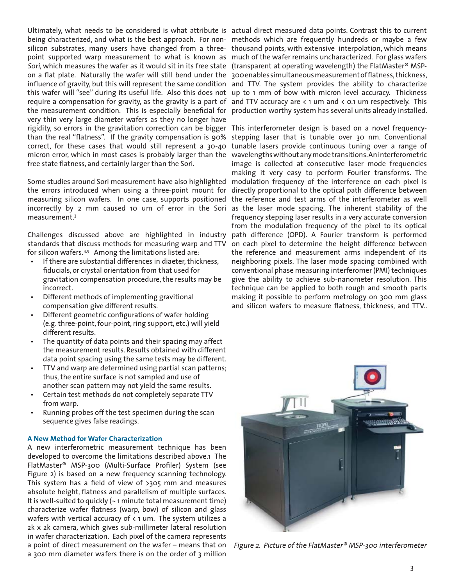Ultimately, what needs to be considered is what attribute is actual direct measured data points. Contrast this to current being characterized, and what is the best approach. For non-methods which are frequently hundreds or maybe a few silicon substrates, many users have changed from a three-thousand points, with extensive interpolation, which means point supported warp measurement to what is known as much of the wafer remains uncharacterized. For glass wafers S*ori*, which measures the wafer as it would sit in its free state (transparent at operating wavelength) the FlatMaster® MSPon a flat plate. Naturally the wafer will still bend under the 300enablessimultaneousmeasurementofflatness,thickness, influence of gravity, but this will represent the same condition  $\,$  and TTV. The system provides the ability to characterize this wafer will "see" during its useful life. Also this does not up to 1 mm of bow with micron level accuracy. Thickness require a compensation for gravity, as the gravity is a part of and TTV accuracy are < 1 um and < 0.1 um respectively. This the measurement condition. This is especially beneficial for production worthy system has several units already installed. very thin very large diameter wafers as they no longer have rigidity, so errors in the gravitation correction can be bigger This interferometer design is based on a novel frequencythan the real "flatness". If the gravity compensation is 90% stepping laser that is tunable over 30 nm. Conventional correct, for these cases that would still represent a 30-40 tunable lasers provide continuous tuning over a range of micron error, which in most cases is probably larger than the wavelengths without any mode transitions. An interferometric free state flatness, and certainly larger than the Sori.

Some studies around Sori measurement have also highlighted modulation frequency of the interference on each pixel is the errors introduced when using a three-point mount for measuring silicon wafers. In one case, supports positioned the reference and test arms of the interferometer as well incorrectly by 2 mm caused 10 um of error in the Sori as the laser mode spacing. The inherent stability of the measurement.3

Challenges discussed above are highlighted in industry standards that discuss methods for measuring warp and TTV for silicon wafers.<sup>4,5</sup> Among the limitations listed are:

- If there are substantial differences in diaeter, thickness, fiducials, or crystal orientation from that used for gravitation compensation procedure, the results may be incorrect.
- Different methods of implementing gravitional compensation give different results.
- Different geometric configurations of wafer holding (e.g. three-point, four-point, ring support, etc.) will yield different results.
- The quantity of data points and their spacing may affect the measurement results. Results obtained with different data point spacing using the same tests may be different.
- TTV and warp are determined using partial scan patterns; thus, the entire surface is not sampled and use of another scan pattern may not yield the same results.
- Certain test methods do not completely separate TTV from warp.
- Running probes off the test specimen during the scan sequence gives false readings.

# **A New Method for Wafer Characterization**

A new interferometric measurement technique has been developed to overcome the limitations described above.1 The FlatMaster® MSP-300 (Multi-Surface Profiler) System (see Figure 2) is based on a new frequency scanning technology. This system has a field of view of  $>305$  mm and measures absolute height, flatness and parallelism of multiple surfaces. It is well-suited to quickly (~ 1 minute total measurement time) characterize wafer flatness (warp, bow) of silicon and glass wafers with vertical accuracy of  $\langle$  1 um. The system utilizes a 2k x 2k camera, which gives sub-millimeter lateral resolution in wafer characterization. Each pixel of the camera represents a point of direct measurement on the wafer – means that on a 300 mm diameter wafers there is on the order of 3 million

image is collected at consecutive laser mode frequencies making it very easy to perform Fourier transforms. The directly proportional to the optical path difference between frequency stepping laser results in a very accurate conversion from the modulation frequency of the pixel to its optical path difference (OPD). A Fourier transform is performed on each pixel to determine the height difference between the reference and measurement arms independent of its neighboring pixels. The laser mode spacing combined with conventional phase measuring interferomer (PMI) techniques give the ability to achieve sub-nanometer resolution. This technique can be applied to both rough and smooth parts making it possible to perform metrology on 300 mm glass and silicon wafers to measure flatness, thickness, and TTV..



Figure 2. Picture of the FlatMaster® MSP-300 interferometer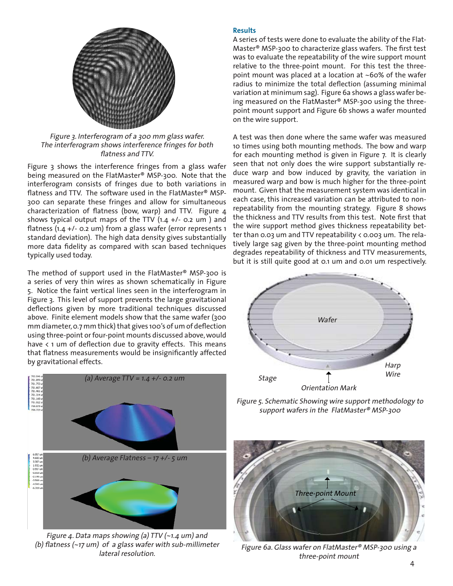

Figure 3. Interferogram of a 300 mm glass wafer. The interferogram shows interference fringes for both flatness and TTV.

Figure 3 shows the interference fringes from a glass wafer being measured on the FlatMaster® MSP-300. Note that the interferogram consists of fringes due to both variations in flatness and TTV. The software used in the FlatMaster® MSP-300 can separate these fringes and allow for simultaneous characterization of flatness (bow, warp) and TTV. Figure  $4$ shows typical output maps of the TTV  $(1.4 +/- 0.2$  um) and flatness (1.4 +/- 0.2 um) from a glass wafer (error represents 1 standard deviation). The high data density gives substantially more data fidelity as compared with scan based techniques typically used today.

The method of support used in the FlatMaster® MSP-300 is a series of very thin wires as shown schematically in Figure 5. Notice the faint vertical lines seen in the interferogram in Figure 3. This level of support prevents the large gravitational deflections given by more traditional techniques discussed above. Finite element models show that the same wafer (300 mm diameter, 0.7 mm thick) that gives 100's of um of deflection using three-point or four-point mounts discussed above, would have  $\langle$  1 um of deflection due to gravity effects. This means that flatness measurements would be insignificantly affected by gravitational effects.



Figure 4. Data maps showing (a) TTV (~1.4 um) and (b) flatness ( $\sim$ 17 um) of a glass wafer with sub-millimeter lateral resolution.

### **Results**

A series of tests were done to evaluate the ability of the Flat-Master<sup>®</sup> MSP-300 to characterize glass wafers. The first test was to evaluate the repeatability of the wire support mount relative to the three-point mount. For this test the threepoint mount was placed at a location at ~60% of the wafer radius to minimize the total deflection (assuming minimal variation at minimum sag). Figure 6a shows a glass wafer being measured on the FlatMaster® MSP-300 using the threepoint mount support and Figure 6b shows a wafer mounted on the wire support.

A test was then done where the same wafer was measured 10 times using both mounting methods. The bow and warp for each mounting method is given in Figure 7. It is clearly seen that not only does the wire support substantially reduce warp and bow induced by gravity, the variation in measured warp and bow is much higher for the three-point mount. Given that the measurement system was identical in each case, this increased variation can be attributed to nonrepeatability from the mounting strategy. Figure 8 shows the thickness and TTV results from this test. Note first that the wire support method gives thickness repeatability better than 0.03 um and TTV repeatability < 0.003 um. The relatively large sag given by the three-point mounting method degrades repeatability of thickness and TTV measurements, but it is still quite good at 0.1 um and 0.01 um respectively.



Figure 5. Schematic Showing wire support methodology to support wafers in the FlatMaster® MSP-300



Figure 6a. Glass wafer on FlatMaster® MSP-300 using a three-point mount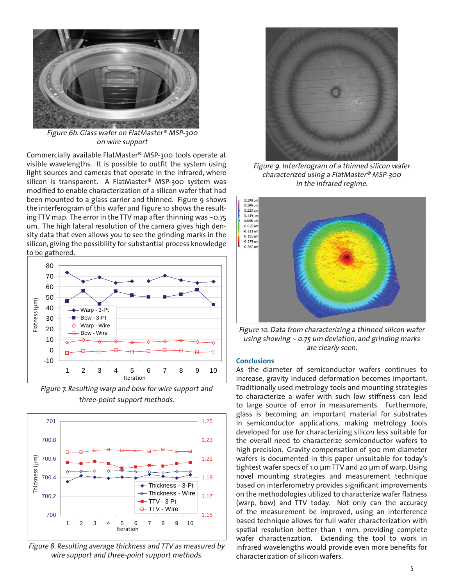

Figure 6b. Glass wafer on FlatMaster® MSP-300 on wire support

Commercially available FlatMaster® MSP-300 tools operate at visible wavelengths. It is possible to outfit the system using light sources and cameras that operate in the infrared, where silicon is transparent. A FlatMaster® MSP-300 system was modified to enable characterization of a silicon wafer that had been mounted to a glass carrier and thinned. Figure 9 shows the interferogram of this wafer and Figure 10 shows the resulting TTV map. The error in the TTV map after thinning was ~0.75 um. The high lateral resolution of the camera gives high density data that even allows you to see the grinding marks in the silicon, giving the possibility for substantial process knowledge to be gathered.



Figure 7. Resulting warp and bow for wire support and three-point support methods.



Figure 8. Resulting average thickness and TTV as measured by wire support and three-point support methods.



Figure 9. Interferogram of a thinned silicon wafer characterized using a FlatMaster® MSP-300 in the infrared regime.



Figure 10. Data from characterizing a thinned silicon wafer using showing  $\sim$  0.75 um deviation, and grinding marks are clearly seen.

# **Conclusions**

As the diameter of semiconductor wafers continues to increase, gravity induced deformation becomes important. Traditionally used metrology tools and mounting strategies to characterize a wafer with such low stiffness can lead to large source of error in measurements. Furthermore, glass is becoming an important material for substrates in semiconductor applications, making metrology tools developed for use for characterizing silicon less suitable for the overall need to characterize semiconductor wafers to high precision. Gravity compensation of 300 mm diameter wafers is documented in this paper unsuitable for today's tightest wafer specs of 1.0 μm TTV and 20 μm of warp. Using novel mounting strategies and measurement technique based on interferometry provides significant improvements on the methodologies utilized to characterize wafer flatness (warp, bow) and TTV today. Not only can the accuracy of the measurement be improved, using an interference based technique allows for full wafer characterization with spatial resolution better than 1 mm, providing complete wafer characterization. Extending the tool to work in infrared wavelengths would provide even more benefits for characterization of silicon wafers.